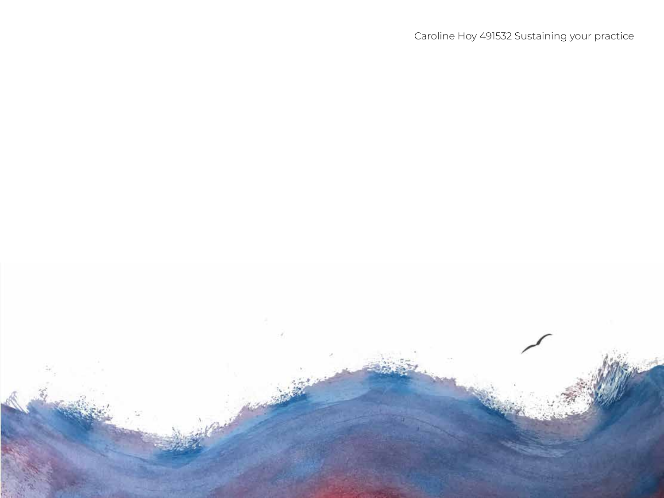Caroline Hoy 491532 Sustaining your practice

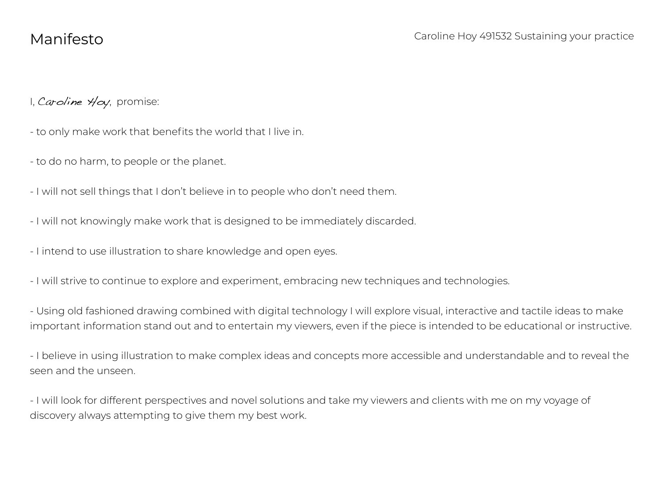I, Caroline Hoy, promise:

- to only make work that benefits the world that I live in.
- to do no harm, to people or the planet.
- I will not sell things that I don't believe in to people who don't need them.
- I will not knowingly make work that is designed to be immediately discarded.
- I intend to use illustration to share knowledge and open eyes.
- I will strive to continue to explore and experiment, embracing new techniques and technologies.

- Using old fashioned drawing combined with digital technology I will explore visual, interactive and tactile ideas to make important information stand out and to entertain my viewers, even if the piece is intended to be educational or instructive.

- I believe in using illustration to make complex ideas and concepts more accessible and understandable and to reveal the seen and the unseen.

- I will look for different perspectives and novel solutions and take my viewers and clients with me on my voyage of discovery always attempting to give them my best work.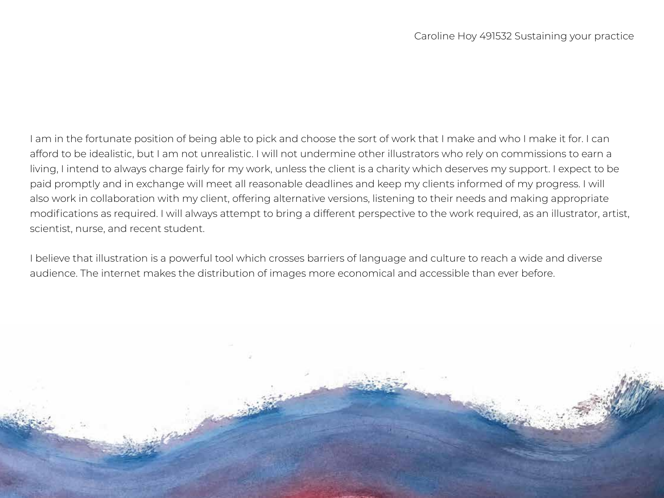I am in the fortunate position of being able to pick and choose the sort of work that I make and who I make it for. I can afford to be idealistic, but I am not unrealistic. I will not undermine other illustrators who rely on commissions to earn a living, I intend to always charge fairly for my work, unless the client is a charity which deserves my support. I expect to be paid promptly and in exchange will meet all reasonable deadlines and keep my clients informed of my progress. I will also work in collaboration with my client, offering alternative versions, listening to their needs and making appropriate modifications as required. I will always attempt to bring a different perspective to the work required, as an illustrator, artist, scientist, nurse, and recent student.

I believe that illustration is a powerful tool which crosses barriers of language and culture to reach a wide and diverse audience. The internet makes the distribution of images more economical and accessible than ever before.

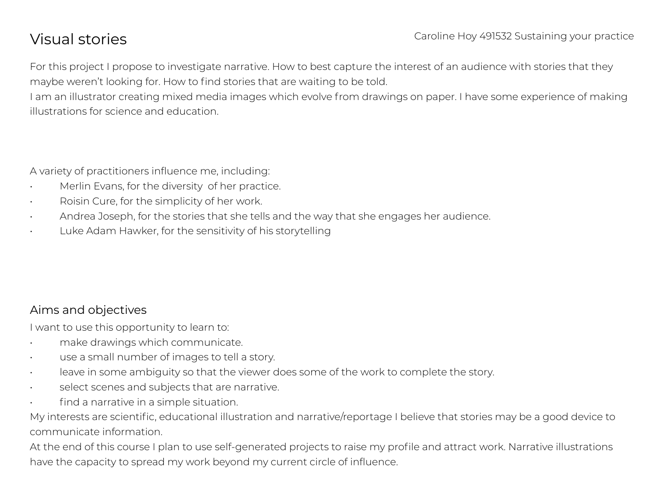# Visual stories

For this project I propose to investigate narrative. How to best capture the interest of an audience with stories that they maybe weren't looking for. How to find stories that are waiting to be told.

I am an illustrator creating mixed media images which evolve from drawings on paper. I have some experience of making illustrations for science and education.

A variety of practitioners influence me, including:

- Merlin Evans, for the diversity of her practice.
- Roisin Cure, for the simplicity of her work.
- Andrea Joseph, for the stories that she tells and the way that she engages her audience.
- Luke Adam Hawker, for the sensitivity of his storytelling

# Aims and objectives

I want to use this opportunity to learn to:

- make drawings which communicate.
- use a small number of images to tell a story.
- leave in some ambiguity so that the viewer does some of the work to complete the story.
- select scenes and subjects that are narrative.
- find a narrative in a simple situation.

My interests are scientific, educational illustration and narrative/reportage I believe that stories may be a good device to communicate information.

At the end of this course I plan to use self-generated projects to raise my profile and attract work. Narrative illustrations have the capacity to spread my work beyond my current circle of influence.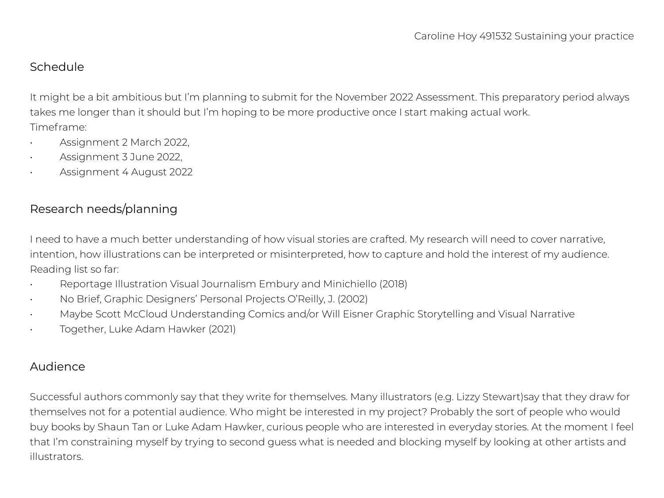### Schedule

It might be a bit ambitious but I'm planning to submit for the November 2022 Assessment. This preparatory period always takes me longer than it should but I'm hoping to be more productive once I start making actual work. Timeframe:

- Assignment 2 March 2022,
- Assignment 3 June 2022,
- Assignment 4 August 2022

# Research needs/planning

I need to have a much better understanding of how visual stories are crafted. My research will need to cover narrative, intention, how illustrations can be interpreted or misinterpreted, how to capture and hold the interest of my audience. Reading list so far:

- Reportage Illustration Visual Journalism Embury and Minichiello (2018)
- No Brief, Graphic Designers' Personal Projects O'Reilly, J. (2002)
- Maybe Scott McCloud Understanding Comics and/or Will Eisner Graphic Storytelling and Visual Narrative
- Together, Luke Adam Hawker (2021)

### Audience

Successful authors commonly say that they write for themselves. Many illustrators (e.g. Lizzy Stewart)say that they draw for themselves not for a potential audience. Who might be interested in my project? Probably the sort of people who would buy books by Shaun Tan or Luke Adam Hawker, curious people who are interested in everyday stories. At the moment I feel that I'm constraining myself by trying to second guess what is needed and blocking myself by looking at other artists and illustrators.